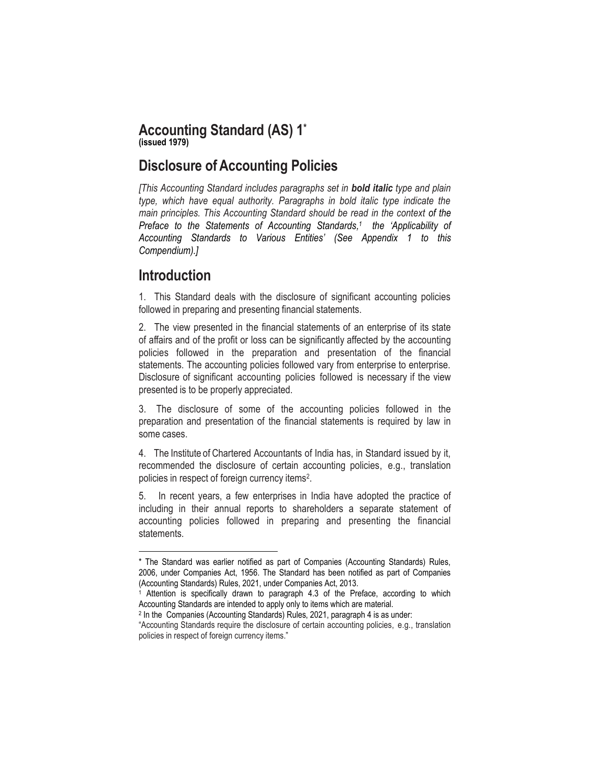### **Accounting Standard (AS) 1 \* (issued 1979)**

# **Disclosure of Accounting Policies**

*[This Accounting Standard includes paragraphs set in bold italic type and plain type, which have equal authority. Paragraphs in bold italic type indicate the main principles. This Accounting Standard should be read in the context of the Preface to the Statements of Accounting Standards, 1 the 'Applicability of Accounting Standards to Various Entities' (See Appendix 1 to this Compendium).]*

# **Introduction**

 $\overline{\phantom{a}}$ 

1. This Standard deals with the disclosure of significant accounting policies followed in preparing and presenting financial statements.

2. The view presented in the financial statements of an enterprise of its state of affairs and of the profit or loss can be significantly affected by the accounting policies followed in the preparation and presentation of the financial statements. The accounting policies followed vary from enterprise to enterprise. Disclosure of significant accounting policies followed is necessary if the view presented is to be properly appreciated.

3. The disclosure of some of the accounting policies followed in the preparation and presentation of the financial statements is required by law in some cases.

4. The Institute of Chartered Accountants of India has, in Standard issued by it, recommended the disclosure of certain accounting policies, e.g., translation policies in respect of foreign currency items<sup>2</sup>.

5. In recent years, a few enterprises in India have adopted the practice of including in their annual reports to shareholders a separate statement of accounting policies followed in preparing and presenting the financial statements.

<sup>\*</sup> The Standard was earlier notified as part of Companies (Accounting Standards) Rules, 2006, under Companies Act, 1956. The Standard has been notified as part of Companies (Accounting Standards) Rules, 2021, under Companies Act, 2013.

<sup>1</sup> Attention is specifically drawn to paragraph 4.3 of the Preface, according to which Accounting Standards are intended to apply only to items which are material.

<sup>2</sup> In the Companies (Accounting Standards) Rules, 2021, paragraph 4 is as under:

<sup>&</sup>quot;Accounting Standards require the disclosure of certain accounting policies, e.g., translation policies in respect of foreign currency items."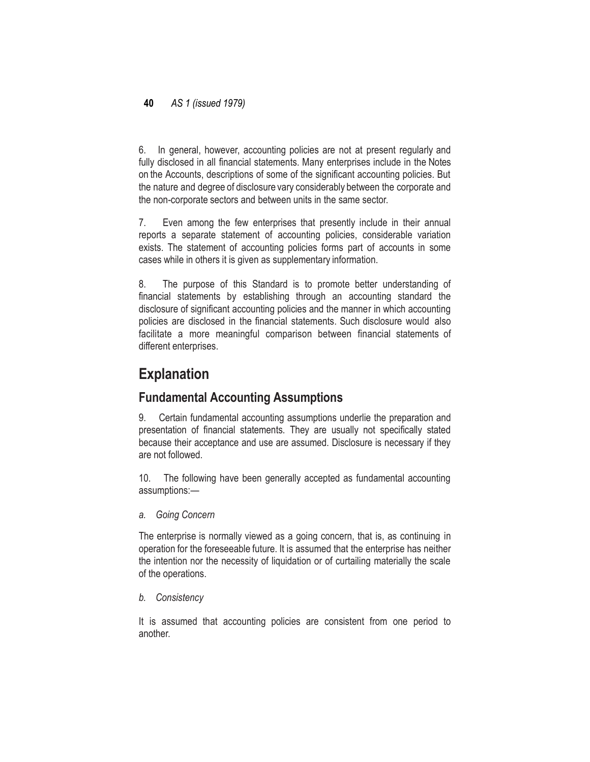### **40** *AS 1 (issued 1979)*

6. In general, however, accounting policies are not at present regularly and fully disclosed in all financial statements. Many enterprises include in the Notes on the Accounts, descriptions of some of the significant accounting policies. But the nature and degree of disclosure vary considerably between the corporate and the non-corporate sectors and between units in the same sector.

7. Even among the few enterprises that presently include in their annual reports a separate statement of accounting policies, considerable variation exists. The statement of accounting policies forms part of accounts in some cases while in others it is given as supplementary information.

8. The purpose of this Standard is to promote better understanding of financial statements by establishing through an accounting standard the disclosure of significant accounting policies and the manner in which accounting policies are disclosed in the financial statements. Such disclosure would also facilitate a more meaningful comparison between financial statements of different enterprises.

# **Explanation**

## **Fundamental Accounting Assumptions**

9. Certain fundamental accounting assumptions underlie the preparation and presentation of financial statements. They are usually not specifically stated because their acceptance and use are assumed. Disclosure is necessary if they are not followed.

10. The following have been generally accepted as fundamental accounting assumptions:—

*a. Going Concern*

The enterprise is normally viewed as a going concern, that is, as continuing in operation for the foreseeable future. It is assumed that the enterprise has neither the intention nor the necessity of liquidation or of curtailing materially the scale of the operations.

### *b. Consistency*

It is assumed that accounting policies are consistent from one period to another.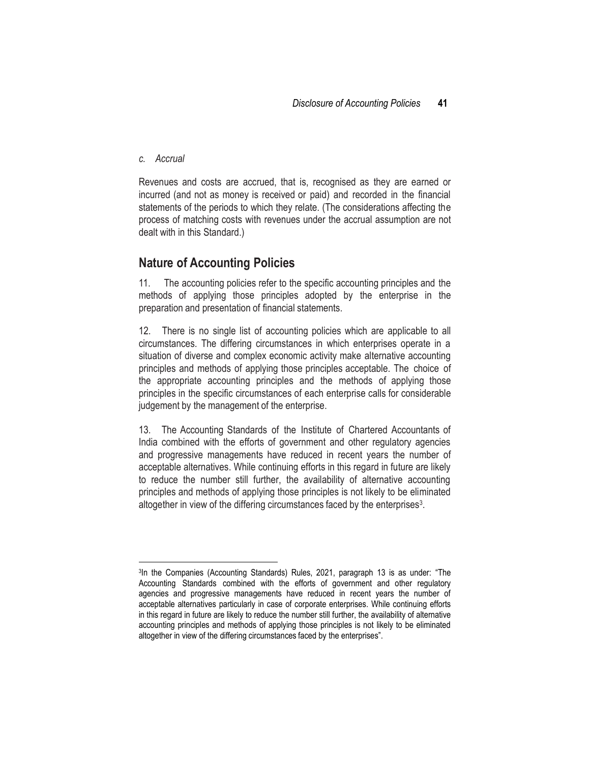#### *c. Accrual*

 $\overline{\phantom{a}}$ 

Revenues and costs are accrued, that is, recognised as they are earned or incurred (and not as money is received or paid) and recorded in the financial statements of the periods to which they relate. (The considerations affecting the process of matching costs with revenues under the accrual assumption are not dealt with in this Standard.)

### **Nature of Accounting Policies**

11. The accounting policies refer to the specific accounting principles and the methods of applying those principles adopted by the enterprise in the preparation and presentation of financial statements.

12. There is no single list of accounting policies which are applicable to all circumstances. The differing circumstances in which enterprises operate in a situation of diverse and complex economic activity make alternative accounting principles and methods of applying those principles acceptable. The choice of the appropriate accounting principles and the methods of applying those principles in the specific circumstances of each enterprise calls for considerable judgement by the management of the enterprise.

13. The Accounting Standards of the Institute of Chartered Accountants of India combined with the efforts of government and other regulatory agencies and progressive managements have reduced in recent years the number of acceptable alternatives. While continuing efforts in this regard in future are likely to reduce the number still further, the availability of alternative accounting principles and methods of applying those principles is not likely to be eliminated altogether in view of the differing circumstances faced by the enterprises<sup>3</sup>.

<sup>&</sup>lt;sup>3</sup>In the Companies (Accounting Standards) Rules, 2021, paragraph 13 is as under: "The Accounting Standards combined with the efforts of government and other regulatory agencies and progressive managements have reduced in recent years the number of acceptable alternatives particularly in case of corporate enterprises. While continuing efforts in this regard in future are likely to reduce the number still further, the availability of alternative accounting principles and methods of applying those principles is not likely to be eliminated altogether in view of the differing circumstances faced by the enterprises".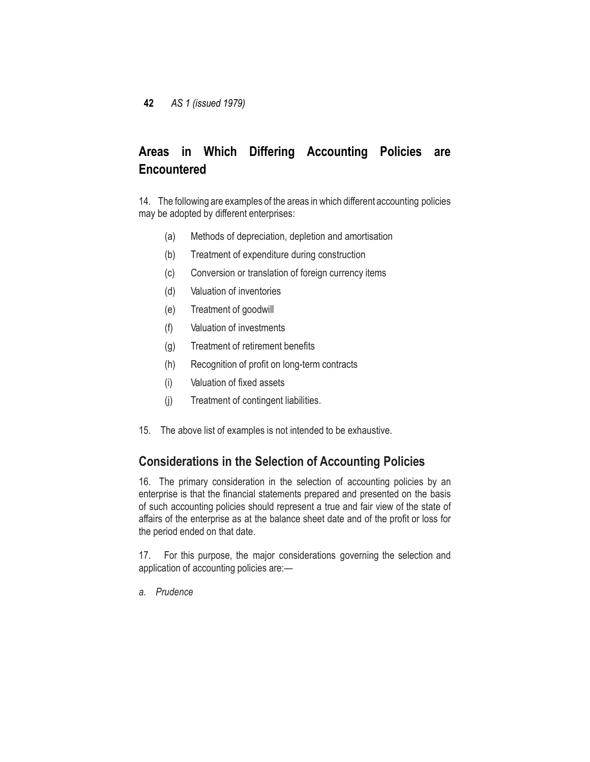# **Areas in Which Differing Accounting Policies are Encountered**

14. The following are examples of the areas in which different accounting policies may be adopted by different enterprises:

- (a) Methods of depreciation, depletion and amortisation
- (b) Treatment of expenditure during construction
- (c) Conversion or translation of foreign currency items
- (d) Valuation of inventories
- (e) Treatment of goodwill
- (f) Valuation of investments
- (g) Treatment of retirement benefits
- (h) Recognition of profit on long-term contracts
- (i) Valuation of fixed assets
- (j) Treatment of contingent liabilities.
- 15. The above list of examples is not intended to be exhaustive.

## **Considerations in the Selection of Accounting Policies**

16. The primary consideration in the selection of accounting policies by an enterprise is that the financial statements prepared and presented on the basis of such accounting policies should represent a true and fair view of the state of affairs of the enterprise as at the balance sheet date and of the profit or loss for the period ended on that date.

17. For this purpose, the major considerations governing the selection and application of accounting policies are:—

*a. Prudence*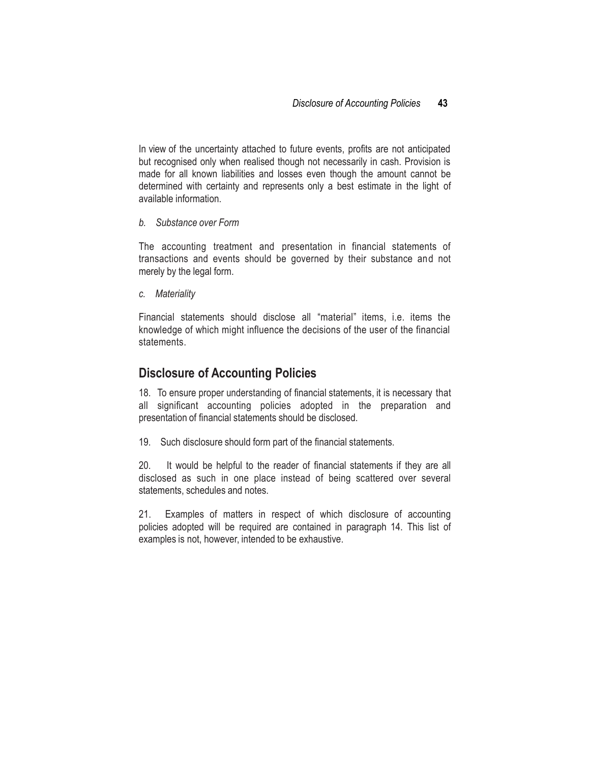In view of the uncertainty attached to future events, profits are not anticipated but recognised only when realised though not necessarily in cash. Provision is made for all known liabilities and losses even though the amount cannot be determined with certainty and represents only a best estimate in the light of available information.

#### *b. Substance over Form*

The accounting treatment and presentation in financial statements of transactions and events should be governed by their substance and not merely by the legal form.

*c. Materiality*

Financial statements should disclose all "material" items, i.e. items the knowledge of which might influence the decisions of the user of the financial statements.

### **Disclosure of Accounting Policies**

18. To ensure proper understanding of financial statements, it is necessary that all significant accounting policies adopted in the preparation and presentation of financial statements should be disclosed.

19. Such disclosure should form part of the financial statements.

20. It would be helpful to the reader of financial statements if they are all disclosed as such in one place instead of being scattered over several statements, schedules and notes.

21. Examples of matters in respect of which disclosure of accounting policies adopted will be required are contained in paragraph 14. This list of examples is not, however, intended to be exhaustive.